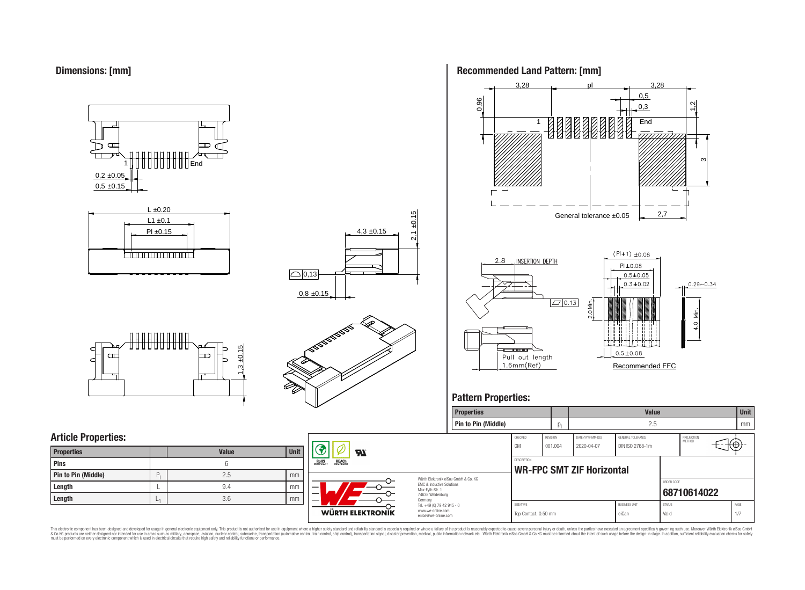



## **Article Properties:**

| <b>Properties</b>   |   | <b>Value</b> | <b>Unit</b> |
|---------------------|---|--------------|-------------|
| Pins                |   | 6            |             |
| Pin to Pin (Middle) | P | 2.5          | mm          |
| Length              |   | 9.4          | mm          |
| Length              | ∟ | 3.6          | mm          |



**LP** 

**WÜRTH ELEKTRONIK** 

**RoHS** 

REACH

4,3 ±0.15

 $2,1 \pm 0.15$ 





## **Pattern Properties:**

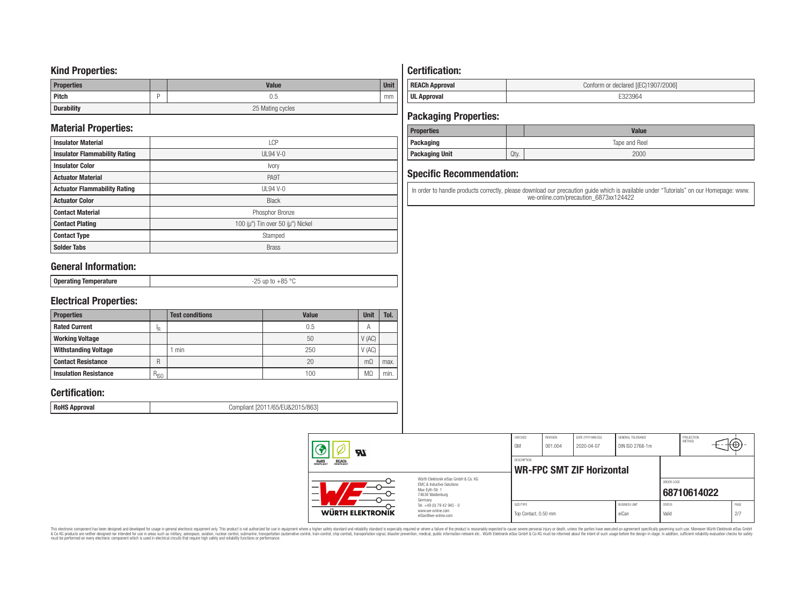### **Kind Properties:**

| <b>Properties</b> | <b>Value</b>     | <b>Unit</b> |  |  |  |
|-------------------|------------------|-------------|--|--|--|
| <b>Pitch</b>      | 0.5              | mm          |  |  |  |
| <b>Durability</b> | 25 Mating cycles |             |  |  |  |

## **Material Properties:**

| <b>Insulator Material</b>            | <b>LCP</b>                                   |
|--------------------------------------|----------------------------------------------|
| <b>Insulator Flammability Rating</b> | $UL94V-0$                                    |
| <b>Insulator Color</b>               | Ivory                                        |
| <b>Actuator Material</b>             | PA9T                                         |
| <b>Actuator Flammability Rating</b>  | UL94 V-0                                     |
| <b>Actuator Color</b>                | <b>Black</b>                                 |
| <b>Contact Material</b>              | Phosphor Bronze                              |
| <b>Contact Plating</b>               | 100 ( $\mu$ ") Tin over 50 ( $\mu$ ") Nickel |
| <b>Contact Type</b>                  | Stamped                                      |
| <b>Solder Tabs</b>                   | <b>Brass</b>                                 |

## **General Information:**

| OE<br>$\circ$<br><b>Onerat</b><br>тятіпп<br>$-1.1$<br>-- |
|----------------------------------------------------------|
|----------------------------------------------------------|

## **Electrical Properties:**

| <b>Properties</b>            |           | <b>Test conditions</b> | <b>Value</b> | Unit           | Tol. |
|------------------------------|-----------|------------------------|--------------|----------------|------|
| <b>Rated Current</b>         | םו        |                        | 0.5          | $\overline{A}$ |      |
| <b>Working Voltage</b>       |           |                        | 50           | V(AC)          |      |
| <b>Withstanding Voltage</b>  |           | min                    | 250          | V(AC)          |      |
| <b>Contact Resistance</b>    | R         |                        | 20           | $m\Omega$      | max. |
| <b>Insulation Resistance</b> | $R_{ISO}$ |                        | 100          | M <sub>2</sub> | min. |

## **Certification:**

**RoHS Approval RoHS Approval Compliant** [2011/65/EU&2015/863]

## **Certification:**

| <b>REACh Approval</b> | Conform or declared [(EC)1907/2006] |
|-----------------------|-------------------------------------|
| <b>UL Approval</b>    |                                     |

## **Packaging Properties:**

| <b>Properties</b>     |               | <b>Value</b> |  |  |
|-----------------------|---------------|--------------|--|--|
| Packaging             | Tape and Reel |              |  |  |
| <b>Packaging Unit</b> | Qty.          | 2000         |  |  |

## **Specific Recommendation:**

In order to handle products correctly, please download our precaution guide which is available under "Tutorials" on our Homepage: www. we-online.com/precaution\_6873xx124422

| WÜRTH ELEKTRONIK                                                                                                    | Tel. +49 (0) 79 42 945 - 0<br>www.we-online.com<br>eiSos@we-online.com | Top Contact, 0.50 mm |                     |                                  | eiCan                                | Valid                       |                      | 2/7  |  |
|---------------------------------------------------------------------------------------------------------------------|------------------------------------------------------------------------|----------------------|---------------------|----------------------------------|--------------------------------------|-----------------------------|----------------------|------|--|
| Würth Flektronik eiSos GmbH & Co. KG<br>EMC & Inductive Solutions<br>Max-Evth-Str. 1<br>74638 Waldenburg<br>Germany |                                                                        | SIZE/TYPE            |                     |                                  | <b>BLISINESS LINIT</b>               | ORDER CODE<br><b>STATUS</b> | 68710614022          | PAGE |  |
| <b>REACH</b><br>COMPLIANT<br><b>ROHS</b><br>COMPLIANT                                                               |                                                                        | <b>DESCRIPTION</b>   |                     | <b>WR-FPC SMT ZIF Horizontal</b> |                                      |                             |                      |      |  |
| <b>R</b>                                                                                                            |                                                                        | CHECKED<br>GM        | REVISION<br>001.004 | DATE (YYYY-MM-DD)<br>2020-04-07  | GENERAL TOLERANCE<br>DIN ISO 2768-1m |                             | PROJECTION<br>METHOD | €θ   |  |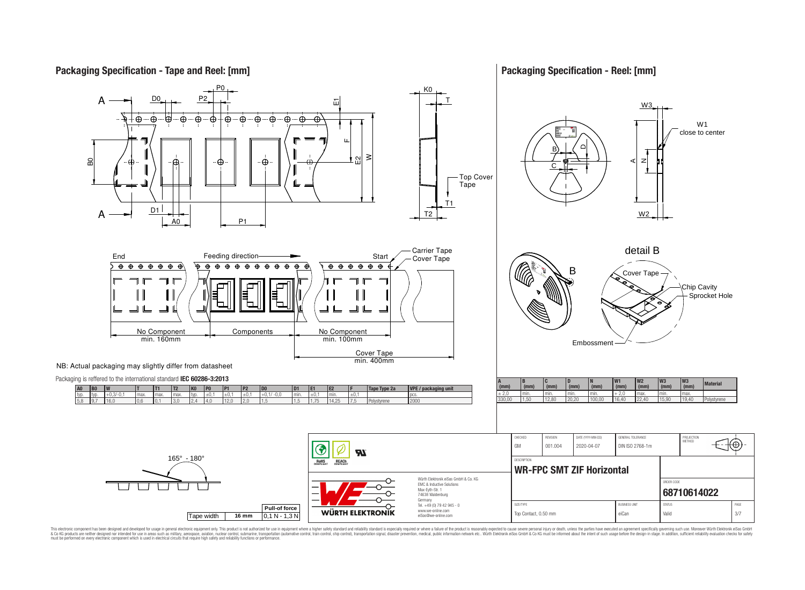

**Packaging Specification - Reel: [mm]**



This electronic component has been designed and developed for usage in general electronic equipment only. This product is not authorized for use in equipment where a higher safely standard and reliability standard si espec & Ook product a label and the membed of the seasuch as marked and as which such a membed and the such assume that income in the seasuch and the simulation and the such assume that include to the such a membed and the such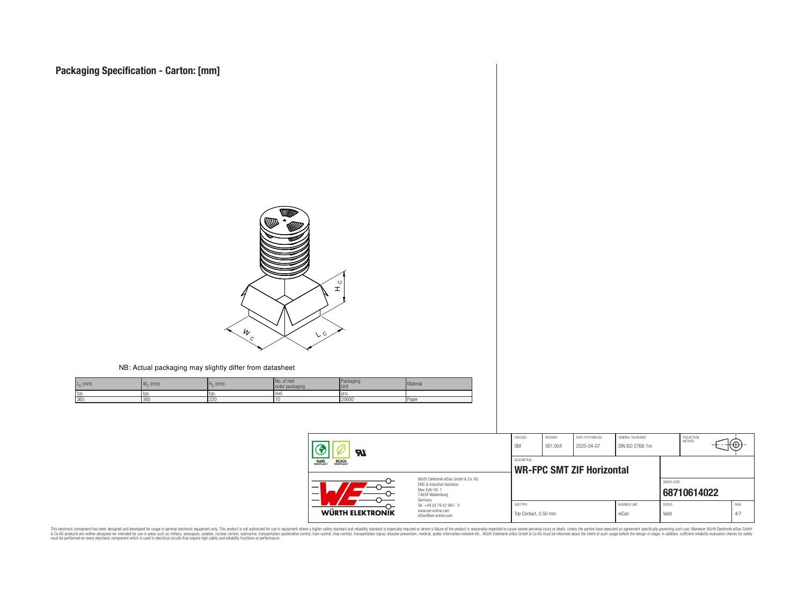

#### NB: Actual packaging may slightly differ from datasheet

| $L_{C}$ (mm) | $W_{\cap}$ (mm) | $H0$ (mm) | No. of reel<br>outer packaging | Packaging<br>Unit | Material |
|--------------|-----------------|-----------|--------------------------------|-------------------|----------|
| typ          | ltyp.           | l tvr     | Treel.                         | <b>DCS</b>        |          |
| 365          | 365             | 220       | . .                            | 20000             | l Paper  |

| $\boldsymbol{\mathcal{H}}$                            |                                                                                                                     | CHECKED<br>GM                     | <b>REVISION</b><br>001.004 | DATE (YYYY-MM-DD)<br>2020-04-07  | GENERAL TOLERANCE<br>DIN ISO 2768-1m |                        | PROJECTION<br>METHOD | τ₩          |
|-------------------------------------------------------|---------------------------------------------------------------------------------------------------------------------|-----------------------------------|----------------------------|----------------------------------|--------------------------------------|------------------------|----------------------|-------------|
| <b>ROHS</b><br>COMPLIANT<br><b>REACH</b><br>COMPLIANT |                                                                                                                     | DESCRIPTION                       |                            | <b>WR-FPC SMT ZIF Horizontal</b> |                                      |                        |                      |             |
| —<br>$\overline{\phantom{0}}$                         | Würth Flektronik eiSos GmbH & Co. KG<br>EMC & Inductive Solutions<br>Max-Eyth-Str. 1<br>74638 Waldenburg<br>Germany |                                   |                            |                                  |                                      | ORDER CODE             | 68710614022          |             |
| WÜRTH ELEKTRONIK                                      | Tel. +49 (0) 79 42 945 - 0<br>www.we-online.com<br>eiSos@we-online.com                                              | SIZE/TYPE<br>Top Contact, 0.50 mm |                            |                                  | <b>BUSINESS UNIT</b><br>eiCan        | <b>STATUS</b><br>Valid |                      | PAGE<br>4/7 |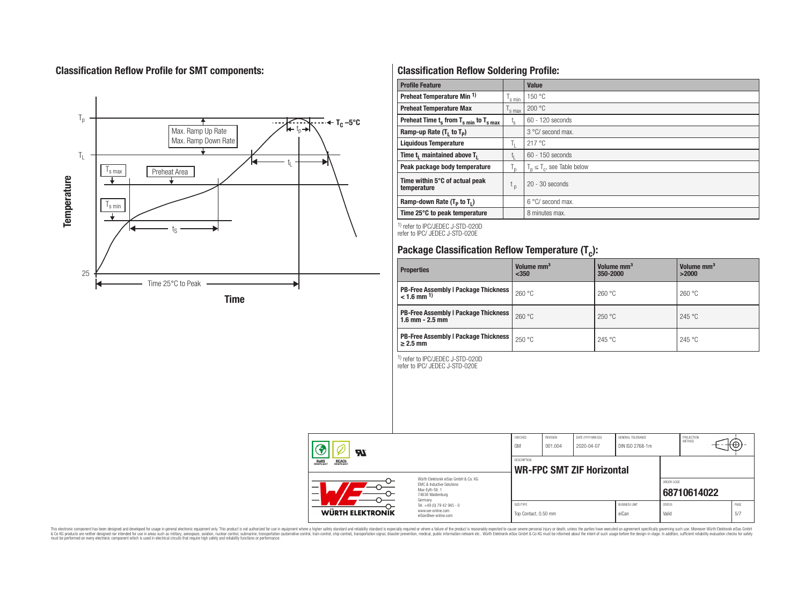## **Classification Reflow Profile for SMT components:**



## **Classification Reflow Soldering Profile:**

| <b>Profile Feature</b>                              |                    | Value                            |
|-----------------------------------------------------|--------------------|----------------------------------|
| Preheat Temperature Min <sup>1)</sup>               | <sup>I</sup> s min | 150 °C                           |
| <b>Preheat Temperature Max</b>                      | 's max             | 200 °C                           |
| Preheat Time $t_s$ from $T_{s min}$ to $T_{s max}$  | $t_{\rm s}$        | $60 - 120$ seconds               |
| Ramp-up Rate $(T_1$ to $T_p$ )                      |                    | 3 °C/ second max.                |
| <b>Liquidous Temperature</b>                        | Ь.                 | 217°C                            |
| Time t <sub>1</sub> maintained above T <sub>1</sub> | ь.                 | $60 - 150$ seconds               |
| Peak package body temperature                       | l n                | $T_n \leq T_c$ , see Table below |
| Time within 5°C of actual peak<br>temperature       | t <sub>p</sub>     | $20 - 30$ seconds                |
| Ramp-down Rate $(T_p$ to $T_1$ )                    |                    | $6^{\circ}$ C/ second max.       |
| Time 25°C to peak temperature                       |                    | 8 minutes max.                   |

1) refer to IPC/JEDEC J-STD-020D refer to IPC/ JEDEC J-STD-020E

# **Package Classification Reflow Temperature (T<sup>c</sup> ):**

| <b>Properties</b>                                                         | Volume mm <sup>3</sup><br>$350$ | Volume mm <sup>3</sup><br>350-2000 | Volume mm <sup>3</sup><br>>2000 |
|---------------------------------------------------------------------------|---------------------------------|------------------------------------|---------------------------------|
| <b>PB-Free Assembly   Package Thickness  </b><br>$< 1.6$ mm <sup>1)</sup> | 260 °C                          | 260 °C                             | 260 °C                          |
| <b>PB-Free Assembly   Package Thickness  </b><br>$1.6$ mm $- 2.5$ mm      | 260 °C                          | 250 °C                             | 245 °C                          |
| <b>PB-Free Assembly   Package Thickness  </b><br>$\geq$ 2.5 mm            | 250 °C                          | 245 °C                             | 245 °C                          |

1) refer to IPC/JEDEC J-STD-020D

refer to IPC/ JEDEC J-STD-020E

|                  | $\boldsymbol{\mathcal{H}}$ |                                                                                                                     | CHECKED<br>GM                     | REVISION<br>001.004                             | DATE (YYYY-MM-DD)<br>2020-04-07 | GENERAL TOLERANCE<br>DIN ISO 2768-1m |                        | PROJECTION<br>METHOD | ₩Ψ |             |
|------------------|----------------------------|---------------------------------------------------------------------------------------------------------------------|-----------------------------------|-------------------------------------------------|---------------------------------|--------------------------------------|------------------------|----------------------|----|-------------|
| <b>ROHS</b>      | <b>REACH</b><br>COMPLIANT  |                                                                                                                     |                                   | DESCRIPTION<br><b>WR-FPC SMT ZIF Horizontal</b> |                                 |                                      |                        |                      |    |             |
| –<br>—           |                            | Würth Elektronik eiSos GmbH & Co. KG<br>EMC & Inductive Solutions<br>Max-Evth-Str. 1<br>74638 Waldenburg<br>Germany |                                   |                                                 |                                 |                                      | ORDER CODE             | 68710614022          |    |             |
| WÜRTH ELEKTRONIK |                            | Tel. +49 (0) 79 42 945 - 0<br>www.we-online.com<br>eiSos@we-online.com                                              | SIZE/TYPE<br>Top Contact, 0.50 mm |                                                 |                                 | <b>BUSINESS UNIT</b><br>eiCan        | <b>STATUS</b><br>Valid |                      |    | PAGE<br>5/7 |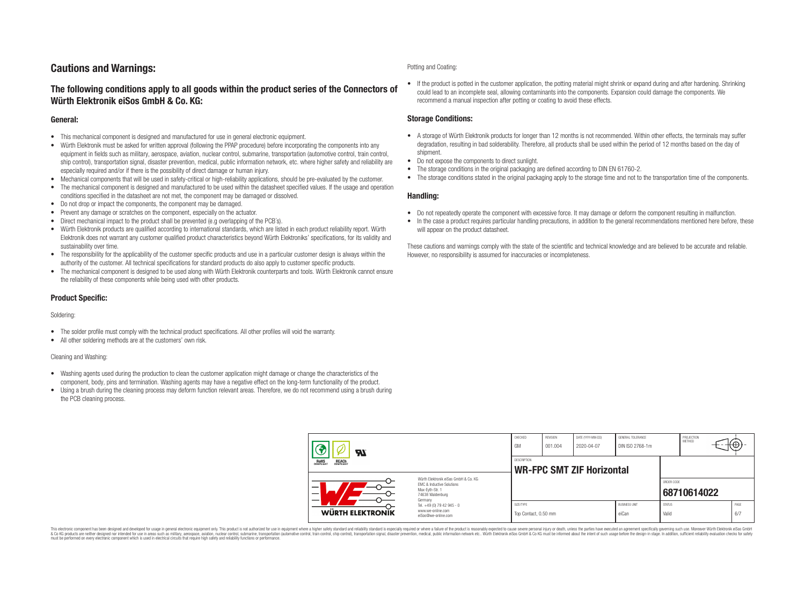## **Cautions and Warnings:**

### **The following conditions apply to all goods within the product series of the Connectors of Würth Elektronik eiSos GmbH & Co. KG:**

### **General:**

- This mechanical component is designed and manufactured for use in general electronic equipment.
- Würth Elektronik must be asked for written approval (following the PPAP procedure) before incorporating the components into any equipment in fields such as military, aerospace, aviation, nuclear control, submarine, transportation (automotive control, train control, ship control), transportation signal, disaster prevention, medical, public information network, etc. where higher safety and reliability are especially required and/or if there is the possibility of direct damage or human injury.
- Mechanical components that will be used in safety-critical or high-reliability applications, should be pre-evaluated by the customer.
- The mechanical component is designed and manufactured to be used within the datasheet specified values. If the usage and operation conditions specified in the datasheet are not met, the component may be damaged or dissolved.
- Do not drop or impact the components, the component may be damaged.
- Prevent any damage or scratches on the component, especially on the actuator.
- Direct mechanical impact to the product shall be prevented (e.g overlapping of the PCB's).
- Würth Elektronik products are qualified according to international standards, which are listed in each product reliability report. Würth Elektronik does not warrant any customer qualified product characteristics beyond Würth Elektroniks' specifications, for its validity and sustainability over time.
- The responsibility for the applicability of the customer specific products and use in a particular customer design is always within the authority of the customer. All technical specifications for standard products do also apply to customer specific products.
- The mechanical component is designed to be used along with Würth Elektronik counterparts and tools. Würth Elektronik cannot ensure the reliability of these components while being used with other products.

### **Product Specific:**

#### Soldering:

- The solder profile must comply with the technical product specifications. All other profiles will void the warranty.
- All other soldering methods are at the customers' own risk.

#### Cleaning and Washing:

- Washing agents used during the production to clean the customer application might damage or change the characteristics of the component, body, pins and termination. Washing agents may have a negative effect on the long-term functionality of the product.
- Using a brush during the cleaning process may deform function relevant areas. Therefore, we do not recommend using a brush during the PCB cleaning process.

#### Potting and Coating:

• If the product is potted in the customer application, the potting material might shrink or expand during and after hardening. Shrinking could lead to an incomplete seal, allowing contaminants into the components. Expansion could damage the components. We recommend a manual inspection after potting or coating to avoid these effects.

### **Storage Conditions:**

- A storage of Würth Elektronik products for longer than 12 months is not recommended. Within other effects, the terminals may suffer degradation, resulting in bad solderability. Therefore, all products shall be used within the period of 12 months based on the day of shipment.
- Do not expose the components to direct sunlight.
- The storage conditions in the original packaging are defined according to DIN EN 61760-2.
- The storage conditions stated in the original packaging apply to the storage time and not to the transportation time of the components.

### **Handling:**

- Do not repeatedly operate the component with excessive force. It may damage or deform the component resulting in malfunction.
- In the case a product requires particular handling precautions, in addition to the general recommendations mentioned here before, these will appear on the product datasheet.

These cautions and warnings comply with the state of the scientific and technical knowledge and are believed to be accurate and reliable. However, no responsibility is assumed for inaccuracies or incompleteness.

| Hī                                             |                                                                                                                     | CHECKED<br>GM                     | <b>REVISION</b><br>001.004                             | DATE (YYYY-MM-DD)<br>2020-04-07 | GENERAL TOLERANCE<br>DIN ISO 2768-1m |                        | PROJECTION<br><b>METHOD</b> |  | ₩           |  |
|------------------------------------------------|---------------------------------------------------------------------------------------------------------------------|-----------------------------------|--------------------------------------------------------|---------------------------------|--------------------------------------|------------------------|-----------------------------|--|-------------|--|
| ROHS<br>COMPLIANT<br><b>REACH</b><br>COMPLIANT |                                                                                                                     |                                   | <b>DESCRIPTION</b><br><b>WR-FPC SMT ZIF Horizontal</b> |                                 |                                      |                        |                             |  |             |  |
| –                                              | Würth Flektronik eiSos GmbH & Co. KG<br>FMC & Inductive Solutions<br>Max-Eyth-Str. 1<br>74638 Waldenburg<br>Germany |                                   |                                                        |                                 |                                      |                        | ORDER CODE<br>68710614022   |  |             |  |
| WÜRTH ELEKTRONIK                               | Tel. +49 (0) 79 42 945 - 0<br>www.we-online.com<br>eiSos@we-online.com                                              | SIZE/TYPE<br>Top Contact, 0.50 mm |                                                        |                                 | <b>BUSINESS UNIT</b><br>eiCan        | <b>STATUS</b><br>Valid |                             |  | PAGE<br>6/7 |  |

This electronic component has been designed and developed for usage in general electronic equipment only. This product is not authorized for use in equipment where a higher safety standard and reliability standard si espec & Ook product a label and the membed of the seasuch as marked and as which such a membed and the such assume that income in the seasuch and the simulation and the such assume that include to the such a membed and the such